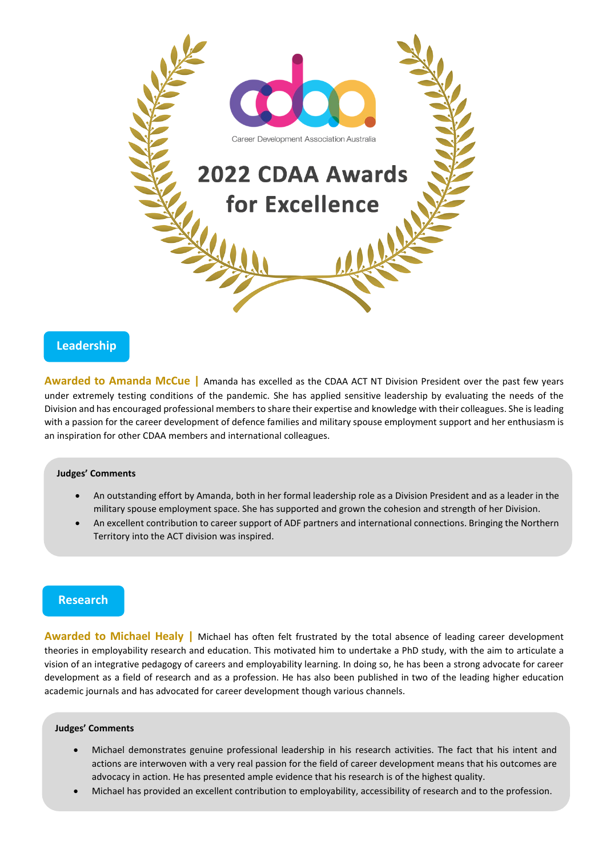

## **Leadership**

**Awarded to Amanda McCue |** Amanda has excelled as the CDAA ACT NT Division President over the past few years under extremely testing conditions of the pandemic. She has applied sensitive leadership by evaluating the needs of the Division and has encouraged professional members to share their expertise and knowledge with their colleagues. She is leading with a passion for the career development of defence families and military spouse employment support and her enthusiasm is an inspiration for other CDAA members and international colleagues.

### **Judges' Comments**

- An outstanding effort by Amanda, both in her formal leadership role as a Division President and as a leader in the military spouse employment space. She has supported and grown the cohesion and strength of her Division.
- An excellent contribution to career support of ADF partners and international connections. Bringing the Northern Territory into the ACT division was inspired.

# **Research**

**Awarded to Michael Healy |** Michael has often felt frustrated by the total absence of leading career development theories in employability research and education. This motivated him to undertake a PhD study, with the aim to articulate a vision of an integrative pedagogy of careers and employability learning. In doing so, he has been a strong advocate for career development as a field of research and as a profession. He has also been published in two of the leading higher education academic journals and has advocated for career development though various channels.

#### **Judges' Comments**

- Michael demonstrates genuine professional leadership in his research activities. The fact that his intent and actions are interwoven with a very real passion for the field of career development means that his outcomes are advocacy in action. He has presented ample evidence that his research is of the highest quality.
- Michael has provided an excellent contribution to employability, accessibility of research and to the profession.